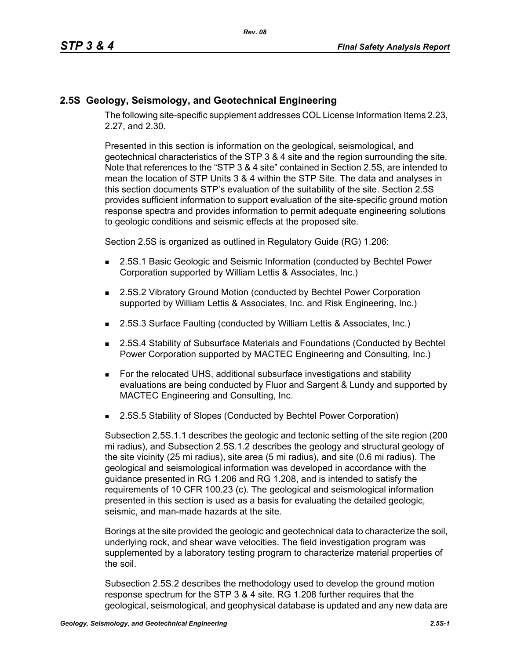## **2.5S Geology, Seismology, and Geotechnical Engineering**

The following site-specific supplement addresses COL License Information Items 2.23, 2.27, and 2.30.

Presented in this section is information on the geological, seismological, and geotechnical characteristics of the STP 3 & 4 site and the region surrounding the site. Note that references to the "STP 3 & 4 site" contained in Section 2.5S, are intended to mean the location of STP Units 3 & 4 within the STP Site. The data and analyses in this section documents STP's evaluation of the suitability of the site. Section 2.5S provides sufficient information to support evaluation of the site-specific ground motion response spectra and provides information to permit adequate engineering solutions to geologic conditions and seismic effects at the proposed site.

Section 2.5S is organized as outlined in Regulatory Guide (RG) 1.206:

- 2.5S.1 Basic Geologic and Seismic Information (conducted by Bechtel Power Corporation supported by William Lettis & Associates, Inc.)
- 2.5S.2 Vibratory Ground Motion (conducted by Bechtel Power Corporation supported by William Lettis & Associates, Inc. and Risk Engineering, Inc.)
- 2.5S.3 Surface Faulting (conducted by William Lettis & Associates, Inc.)
- 2.5S.4 Stability of Subsurface Materials and Foundations (Conducted by Bechtel Power Corporation supported by MACTEC Engineering and Consulting, Inc.)
- For the relocated UHS, additional subsurface investigations and stability evaluations are being conducted by Fluor and Sargent & Lundy and supported by MACTEC Engineering and Consulting, Inc.
- 2.5S.5 Stability of Slopes (Conducted by Bechtel Power Corporation)

Subsection 2.5S.1.1 describes the geologic and tectonic setting of the site region (200 mi radius), and Subsection 2.5S.1.2 describes the geology and structural geology of the site vicinity (25 mi radius), site area (5 mi radius), and site (0.6 mi radius). The geological and seismological information was developed in accordance with the guidance presented in RG 1.206 and RG 1.208, and is intended to satisfy the requirements of 10 CFR 100.23 (c). The geological and seismological information presented in this section is used as a basis for evaluating the detailed geologic, seismic, and man-made hazards at the site.

Borings at the site provided the geologic and geotechnical data to characterize the soil, underlying rock, and shear wave velocities. The field investigation program was supplemented by a laboratory testing program to characterize material properties of the soil.

Subsection 2.5S.2 describes the methodology used to develop the ground motion response spectrum for the STP 3 & 4 site. RG 1.208 further requires that the geological, seismological, and geophysical database is updated and any new data are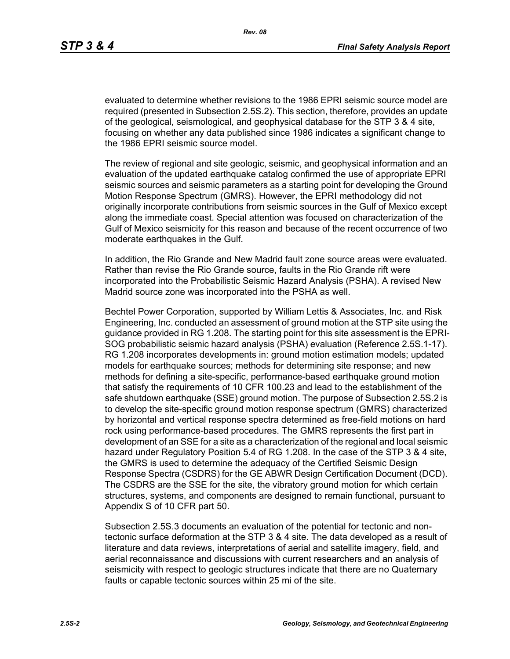evaluated to determine whether revisions to the 1986 EPRI seismic source model are required (presented in Subsection 2.5S.2). This section, therefore, provides an update of the geological, seismological, and geophysical database for the STP 3 & 4 site, focusing on whether any data published since 1986 indicates a significant change to the 1986 EPRI seismic source model.

The review of regional and site geologic, seismic, and geophysical information and an evaluation of the updated earthquake catalog confirmed the use of appropriate EPRI seismic sources and seismic parameters as a starting point for developing the Ground Motion Response Spectrum (GMRS). However, the EPRI methodology did not originally incorporate contributions from seismic sources in the Gulf of Mexico except along the immediate coast. Special attention was focused on characterization of the Gulf of Mexico seismicity for this reason and because of the recent occurrence of two moderate earthquakes in the Gulf.

In addition, the Rio Grande and New Madrid fault zone source areas were evaluated. Rather than revise the Rio Grande source, faults in the Rio Grande rift were incorporated into the Probabilistic Seismic Hazard Analysis (PSHA). A revised New Madrid source zone was incorporated into the PSHA as well.

Bechtel Power Corporation, supported by William Lettis & Associates, Inc. and Risk Engineering, Inc. conducted an assessment of ground motion at the STP site using the guidance provided in RG 1.208. The starting point for this site assessment is the EPRI-SOG probabilistic seismic hazard analysis (PSHA) evaluation (Reference 2.5S.1-17). RG 1.208 incorporates developments in: ground motion estimation models; updated models for earthquake sources; methods for determining site response; and new methods for defining a site-specific, performance-based earthquake ground motion that satisfy the requirements of 10 CFR 100.23 and lead to the establishment of the safe shutdown earthquake (SSE) ground motion. The purpose of Subsection 2.5S.2 is to develop the site-specific ground motion response spectrum (GMRS) characterized by horizontal and vertical response spectra determined as free-field motions on hard rock using performance-based procedures. The GMRS represents the first part in development of an SSE for a site as a characterization of the regional and local seismic hazard under Regulatory Position 5.4 of RG 1.208. In the case of the STP 3 & 4 site, the GMRS is used to determine the adequacy of the Certified Seismic Design Response Spectra (CSDRS) for the GE ABWR Design Certification Document (DCD). The CSDRS are the SSE for the site, the vibratory ground motion for which certain structures, systems, and components are designed to remain functional, pursuant to Appendix S of 10 CFR part 50.

Subsection 2.5S.3 documents an evaluation of the potential for tectonic and nontectonic surface deformation at the STP 3 & 4 site. The data developed as a result of literature and data reviews, interpretations of aerial and satellite imagery, field, and aerial reconnaissance and discussions with current researchers and an analysis of seismicity with respect to geologic structures indicate that there are no Quaternary faults or capable tectonic sources within 25 mi of the site.